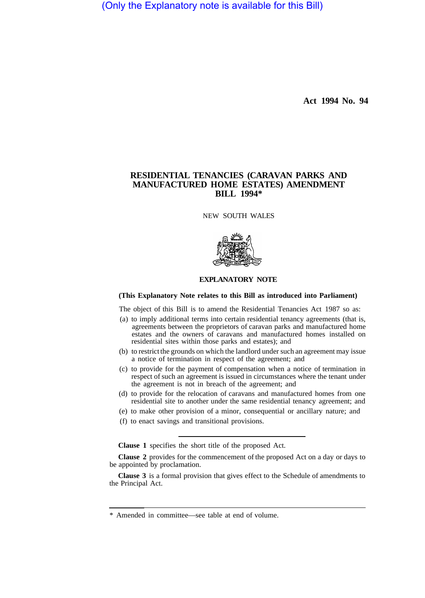(Only the Explanatory note is available for this Bill)

**Act 1994 No. 94** 

# **RESIDENTIAL TENANCIES (CARAVAN PARKS AND MANUFACTURED HOME ESTATES) AMENDMENT BILL 1994\***

NEW SOUTH WALES



# **EXPLANATORY NOTE**

## **(This Explanatory Note relates to this Bill as introduced into Parliament)**

The object of this Bill is to amend the Residential Tenancies Act 1987 so as:

- (a) to imply additional terms into certain residential tenancy agreements (that is, agreements between the proprietors of caravan parks and manufactured home estates and the owners of caravans and manufactured homes installed on residential sites within those parks and estates); and
- (b) to restrict the grounds on which the landlord under such an agreement may issue a notice of termination in respect of the agreement; and
- (c) to provide for the payment of compensation when a notice of termination in respect of such an agreement is issued in circumstances where the tenant under the agreement is not in breach of the agreement; and
- (d) to provide for the relocation of caravans and manufactured homes from one residential site to another under the same residential tenancy agreement; and
- (e) to make other provision of a minor, consequential or ancillary nature; and
- (f) to enact savings and transitional provisions.

**Clause 1** specifies the short title of the proposed Act.

**Clause 2** provides for the commencement of the proposed Act on a day or days to be appointed by proclamation.

**Clause 3** is a formal provision that gives effect to the Schedule of amendments to the Principal Act.

<sup>\*</sup> Amended in committee—see table at end of volume.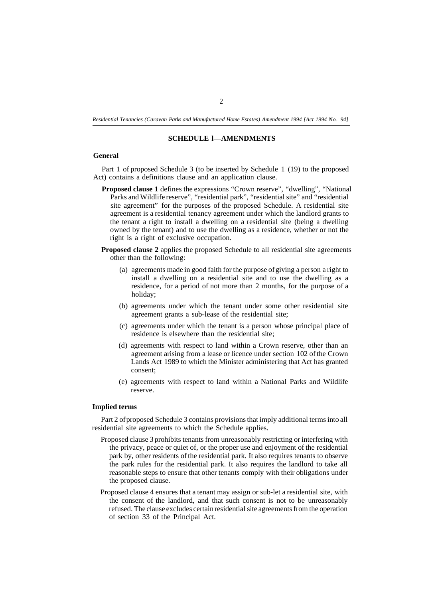*Residential Tenancies (Caravan Parks and Manufactured Home Estates) Amendment 1994 [Act 1994 No. 94]* 

# **SCHEDULE l—AMENDMENTS**

#### **General**

Part 1 of proposed Schedule 3 (to be inserted by Schedule 1 (19) to the proposed Act) contains a definitions clause and an application clause.

- **Proposed clause 1** defines the expressions "Crown reserve", "dwelling", "National Parks and Wildlife reserve", "residential park", "residential site" and "residential site agreement" for the purposes of the proposed Schedule. A residential site agreement is a residential tenancy agreement under which the landlord grants to the tenant a right to install a dwelling on a residential site (being a dwelling owned by the tenant) and to use the dwelling as a residence, whether or not the right is a right of exclusive occupation.
- **Proposed clause 2** applies the proposed Schedule to all residential site agreements other than the following:
	- (a) agreements made in good faith for the purpose of giving a person a right to install a dwelling on a residential site and to use the dwelling as a residence, for a period of not more than 2 months, for the purpose of a holiday;
	- (b) agreements under which the tenant under some other residential site agreement grants a sub-lease of the residential site;
	- (c) agreements under which the tenant is a person whose principal place of residence is elsewhere than the residential site;
	- (d) agreements with respect to land within a Crown reserve, other than an agreement arising from a lease or licence under section 102 of the Crown Lands Act 1989 to which the Minister administering that Act has granted consent;
	- (e) agreements with respect to land within a National Parks and Wildlife reserve.

# **Implied terms**

Part 2 of proposed Schedule 3 contains provisions that imply additional terms into all residential site agreements to which the Schedule applies.

- Proposed clause 3 prohibits tenants from unreasonably restricting or interfering with the privacy, peace or quiet of, or the proper use and enjoyment of the residential park by, other residents of the residential park. It also requires tenants to observe the park rules for the residential park. It also requires the landlord to take all reasonable steps to ensure that other tenants comply with their obligations under the proposed clause.
- Proposed clause 4 ensures that a tenant may assign or sub-let a residential site, with the consent of the landlord, and that such consent is not to be unreasonably refused. The clause excludes certain residential site agreements from the operation of section 33 of the Principal Act.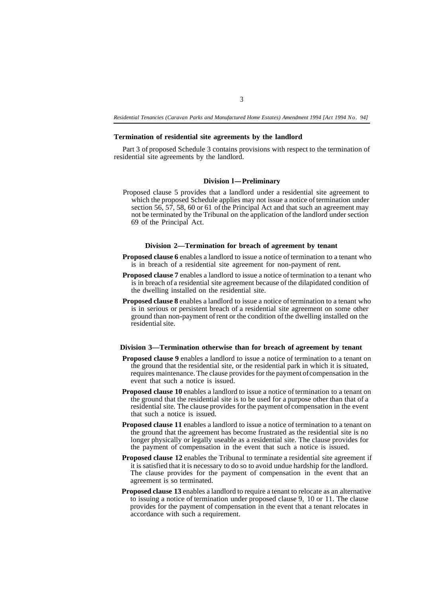*Residential Tenancies (Caravan Parks and Manufactured Home Estates) Amendment 1994 [Act 1994 No. 94]* 

#### **Termination of residential site agreements by the landlord**

Part 3 of proposed Schedule 3 contains provisions with respect to the termination of residential site agreements by the landlord.

#### **Division 1-Preliminary**

Proposed clause 5 provides that a landlord under a residential site agreement to which the proposed Schedule applies may not issue a notice of termination under section 56, 57, 58, 60 or 61 of the Principal Act and that such an agreement may not be terminated by the Tribunal on the application of the landlord under section 69 of the Principal Act.

#### **Division 2—Termination for breach of agreement by tenant**

- **Proposed clause 6** enables a landlord to issue a notice of termination to a tenant who is in breach of a residential site agreement for non-payment of rent.
- **Proposed clause 7** enables a landlord to issue a notice of termination to a tenant who is in breach of a residential site agreement because of the dilapidated condition of the dwelling installed on the residential site.
- **Proposed clause 8** enables a landlord to issue a notice of termination to a tenant who is in serious or persistent breach of a residential site agreement on some other ground than non-payment of rent or the condition of the dwelling installed on the residential site.

#### **Division 3—Termination otherwise than for breach of agreement by tenant**

- **Proposed clause 9** enables a landlord to issue a notice of termination to a tenant on the ground that the residential site, or the residential park in which it is situated, requires maintenance. The clause provides for the payment of compensation in the event that such a notice is issued.
- **Proposed clause 10** enables a landlord to issue a notice of termination to a tenant on the ground that the residential site is to be used for a purpose other than that of a residential site. The clause provides for the payment of compensation in the event that such a notice is issued.
- **Proposed clause 11** enables a landlord to issue a notice of termination to a tenant on the ground that the agreement has become frustrated as the residential site is no longer physically or legally useable as a residential site. The clause provides for the payment of compensation in the event that such a notice is issued.
- **Proposed clause 12** enables the Tribunal to terminate a residential site agreement if it is satisfied that it is necessary to do so to avoid undue hardship for the landlord. The clause provides for the payment of compensation in the event that an agreement is so terminated.
- **Proposed clause 13** enables a landlord to require a tenant to relocate as an alternative to issuing a notice of termination under proposed clause 9, 10 or 11. The clause provides for the payment of compensation in the event that a tenant relocates in accordance with such a requirement.